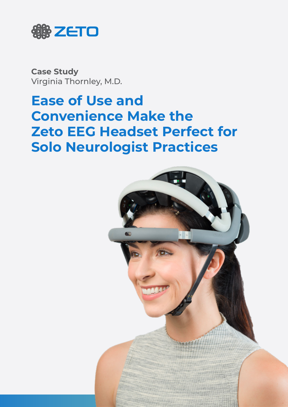

**Case Study** Virginia Thornley, M.D.

# **Ease of Use and Convenience Make the Zeto EEG Headset Perfect for Solo Neurologist Practices**

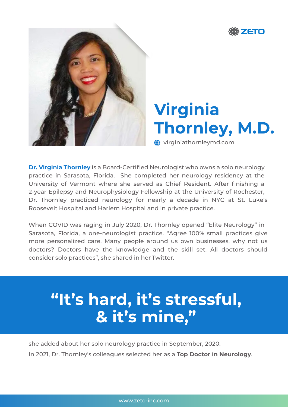



# **Virginia Thornley, M.D.**

 $\bigoplus$  virginiathornleymd.com

**Dr. Virginia Thornley** is a Board-Certified Neurologist who owns a solo neurology practice in Sarasota, Florida. She completed her neurology residency at the University of Vermont where she served as Chief Resident. After finishing a 2-year Epilepsy and Neurophysiology Fellowship at the University of Rochester, Dr. Thornley practiced neurology for nearly a decade in NYC at St. Luke's Roosevelt Hospital and Harlem Hospital and in private practice.

When COVID was raging in July 2020, Dr. Thornley opened "Elite Neurology" in Sarasota, Florida, a one-neurologist practice. "Agree 100% small practices give more personalized care. Many people around us own businesses, why not us doctors? Doctors have the knowledge and the skill set. All doctors should consider solo practices", she shared in her Twitter.

# **"It's hard, it's stressful, & it's mine, "**

In 2021, Dr. Thornley's colleagues selected her as a **Top Doctor in Neurology**. she added about her solo neurology practice in September, 2020.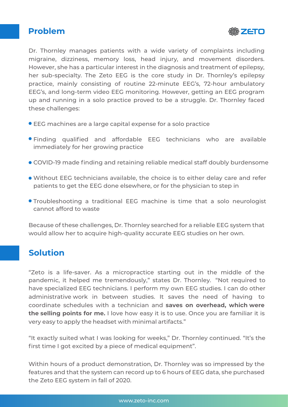## **Problem**



Dr. Thornley manages patients with a wide variety of complaints including migraine, dizziness, memory loss, head injury, and movement disorders. However, she has a particular interest in the diagnosis and treatment of epilepsy, her sub-specialty. The Zeto EEG is the core study in Dr. Thornley's epilepsy practice, mainly consisting of routine 22-minute EEG's, 72-hour ambulatory EEG's, and long-term video EEG monitoring. However, getting an EEG program up and running in a solo practice proved to be a struggle. Dr. Thornley faced these challenges:

- EEG machines are a large capital expense for a solo practice
- Finding qualified and affordable EEG technicians who are available immediately for her growing practice
- COVID-19 made finding and retaining reliable medical staff doubly burdensome
- Without EEG technicians available, the choice is to either delay care and refer patients to get the EEG done elsewhere, or for the physician to step in
- Troubleshooting a traditional EEG machine is time that a solo neurologist cannot afford to waste

Because of these challenges, Dr. Thornley searched for a reliable EEG system that would allow her to acquire high-quality accurate EEG studies on her own.

# **Solution**

"Zeto is a life-saver. As a micropractice starting out in the middle of the pandemic, it helped me tremendously," states Dr. Thornley. "Not required to have specialized EEG technicians. I perform my own EEG studies. I can do other administrative work in between studies. It saves the need of having to coordinate schedules with a technician and **saves on overhead, which were the selling points for me.** I love how easy it is to use. Once you are familiar it is very easy to apply the headset with minimal artifacts."

"It exactly suited what I was looking for weeks," Dr. Thornley continued. "It's the first time I got excited by a piece of medical equipment".

Within hours of a product demonstration, Dr. Thornley was so impressed by the features and that the system can record up to 6 hours of EEG data, she purchased the Zeto EEG system in fall of 2020.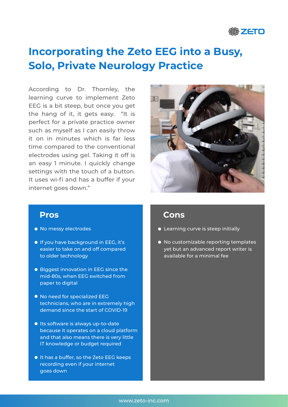

# **Incorporating the Zeto EEG into a Busy, Solo, Private Neurology Practice**

According to Dr. Thornley, the learning curve to implement Zeto EEG is a bit steep, but once you get the hang of it, it gets easy. "It is perfect for a private practice owner such as myself as I can easily throw it on in minutes which is far less time compared to the conventional electrodes using gel. Taking it off is an easy 1 minute. I quickly change settings with the touch of a button. It uses wi-fi and has a buffer if your internet goes down."



- $\bullet$  No messy electrodes
- **If you have background in EEG, it's** easier to take on and off compared to older technology
- **Biggest innovation in EEG since the** mid-80s, when EEG switched from paper to digital
- $\bullet$  No need for specialized EEG technicians, who are in extremely high demand since the start of COVID-19
- **Its software is always up-to-date** because it operates on a cloud platform and that also means there is very little IT knowledge or budget required
- $\bullet$  It has a buffer, so the Zeto EEG keeps recording even if your internet goes down

### **Pros Cons**

- **•** Learning curve is steep initially
- $\bullet$  No customizable reporting templates yet but an advanced report writer is available for a minimal fee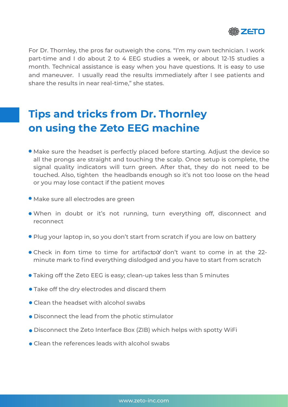

For Dr. Thornley, the pros far outweigh the cons. "I'm my own technician. I work part-time and I do about 2 to 4 EEG studies a week, or about 12-15 studies a month. Technical assistance is easy when you have questions. It is easy to use and maneuver. I usually read the results immediately after I see patients and share the results in near real-time," she states.

# **Tips and tricks from Dr. Thornley on using the Zeto EEG machine**

- Make sure the headset is perfectly placed before starting. Adjust the device so all the prongs are straight and touching the scalp. Once setup is complete, the signal quality indicators will turn green. After that, they do not need to be touched. Also, tighten the headbands enough so it's not too loose on the head or you may lose contact if the patient moves
- Make sure all electrodes are green
- When in doubt or it's not running, turn everything off, disconnect and reconnect
- Plug your laptop in, so you don't start from scratch if you are low on battery
- Check in fom time to time for artifactol don't want to come in at the 22minute mark to find everything dislodged and you have to start from scratch
- Taking off the Zeto EEG is easy; clean-up takes less than 5 minutes
- Take off the dry electrodes and discard them
- Clean the headset with alcohol swabs
- Disconnect the lead from the photic stimulator
- Disconnect the Zeto Interface Box (ZIB) which helps with spotty WiFi
- **Clean the references leads with alcohol swabs**